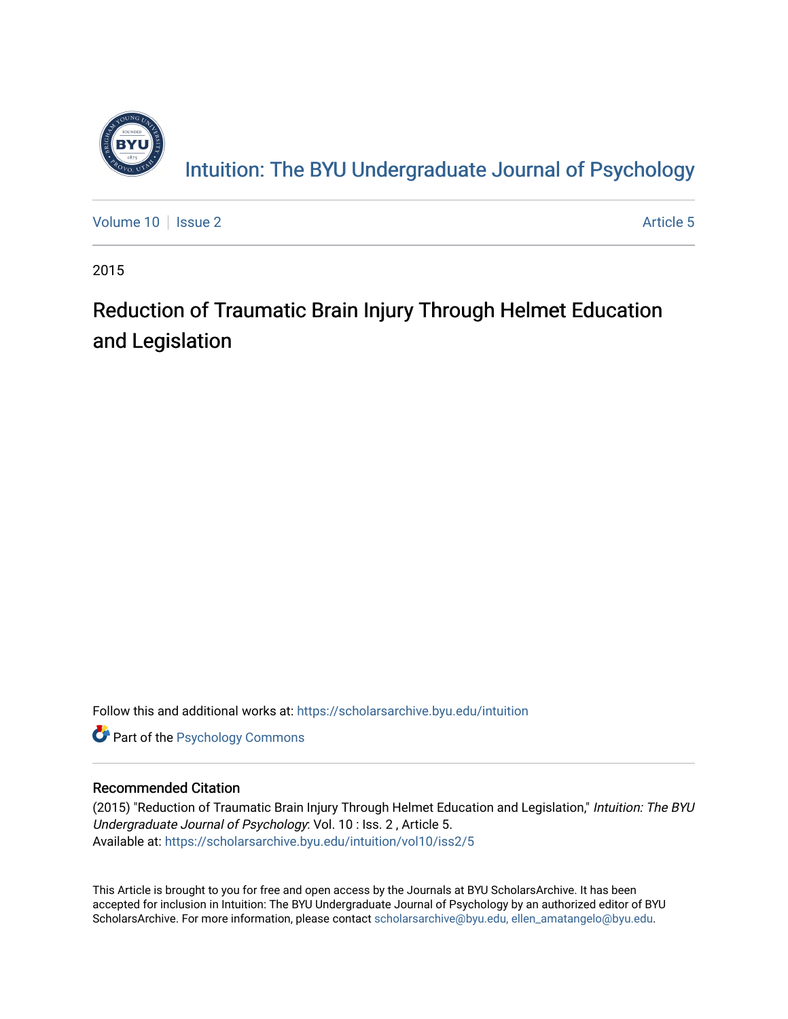

[Volume 10](https://scholarsarchive.byu.edu/intuition/vol10) | [Issue 2](https://scholarsarchive.byu.edu/intuition/vol10/iss2) Article 5

2015

# Reduction of Traumatic Brain Injury Through Helmet Education and Legislation

Follow this and additional works at: [https://scholarsarchive.byu.edu/intuition](https://scholarsarchive.byu.edu/intuition?utm_source=scholarsarchive.byu.edu%2Fintuition%2Fvol10%2Fiss2%2F5&utm_medium=PDF&utm_campaign=PDFCoverPages) 

**Part of the Psychology Commons** 

## Recommended Citation

(2015) "Reduction of Traumatic Brain Injury Through Helmet Education and Legislation," Intuition: The BYU Undergraduate Journal of Psychology: Vol. 10 : Iss. 2 , Article 5. Available at: [https://scholarsarchive.byu.edu/intuition/vol10/iss2/5](https://scholarsarchive.byu.edu/intuition/vol10/iss2/5?utm_source=scholarsarchive.byu.edu%2Fintuition%2Fvol10%2Fiss2%2F5&utm_medium=PDF&utm_campaign=PDFCoverPages) 

This Article is brought to you for free and open access by the Journals at BYU ScholarsArchive. It has been accepted for inclusion in Intuition: The BYU Undergraduate Journal of Psychology by an authorized editor of BYU ScholarsArchive. For more information, please contact [scholarsarchive@byu.edu, ellen\\_amatangelo@byu.edu.](mailto:scholarsarchive@byu.edu,%20ellen_amatangelo@byu.edu)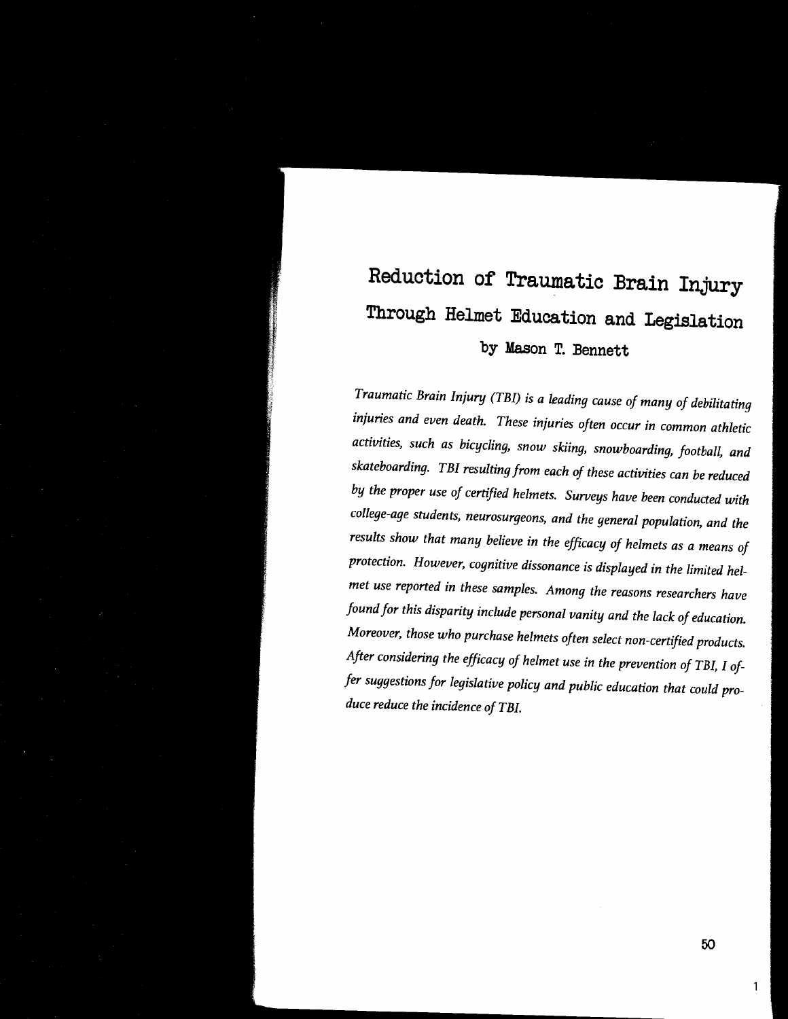# **Reduction of Traumatic Brain Injury Through Helmet Education and Legislation by Mason T. Bennett**

*Traumatic Brain Injury (TB!) is a leading cause of many of debilitating injuries and even death. These injuries often occur in common athletic activities, such as bicycling, snow skiing, snowboarding, football, and skateboarding. TB! resulting from each of these activities can be reduced by the proper use of certified helmets. Surveys have been conducted with college-age students, neurosurgeons, and the general population, and the results show that many believe in the efficacy of helmets as a means of protection. However, cognitive dissonance is displayed in the limited helmet use reported in these samples. Among the reasons researchers have found for this disparity include personal vanity and the lack of education. Moreover, those who purchase helmets often select non-certified products. After considering the efficacy of helmet use in the prevention of TB!, I offer suggestions for legislative policy and public education that could produce reduce the incidence of TB!.* 

50

1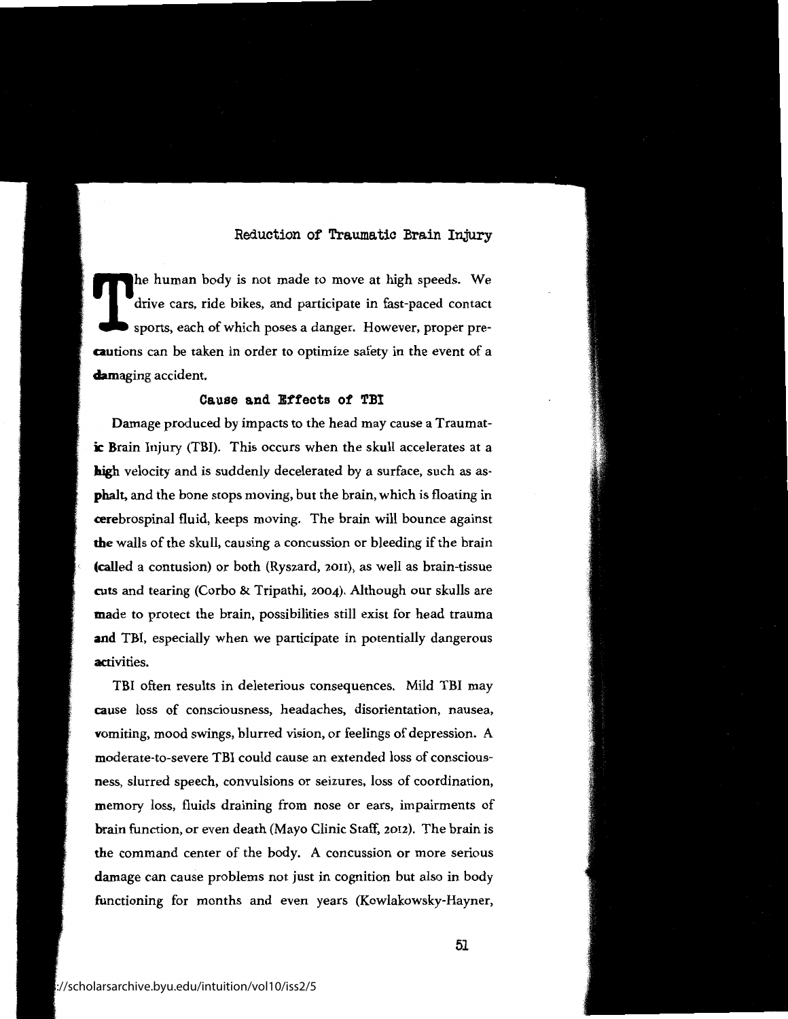T! he human body is not made to move at high speeds. We drive cars, ride bikes, and participate in fast-paced contact sports, each of which poses a danger. However, proper pre**cautions** can be taken in order to optimize safety in the event of a **damaging** accident.

## **Cause and Effects** *ot* **TBI**

Damage produced by impacts to the head may cause a Traumatic **Brain** Injury (TBI). This occurs when the skull accelerates at a **high** velocity and is suddenly decelerated by a surface, such as as**phalt,** and the bone stops moving, but the brain, which is floating in cerebrospinal fluid, keeps moving. The brain will bounce against **the** walls of the skull, causing a concussion or bleeding if the brain (called a contusion) or both (Ryszard, 2011), as well as brain-tissue ruts and tearing (Corbo & Tripathi, 2004). Although our skulls are made to protect the brain, possibilities still exist for head trauma **and** TBI, especially when we participate in potentially dangerous activities.

TBI often results in deleterious consequences. Mild TBI may **cause** loss of consciousness, headaches, disorientation, nausea, **vomiting,** mood swings, blurred vision, or feelings of depression. A moderate-to-severe TBI could cause an extended loss of conscious**ness,** slurred speech, convulsions or seizures, loss of coordination, memory loss, fluids draining from nose or ears, impairments of brain function, or even death (Mayo Clinic Staff, 2012). The brain is the command center of the body. A concussion or more serious damage can cause problems not just in cognition but also in body functioning for months and even years (Kowlakowsky-Hayner,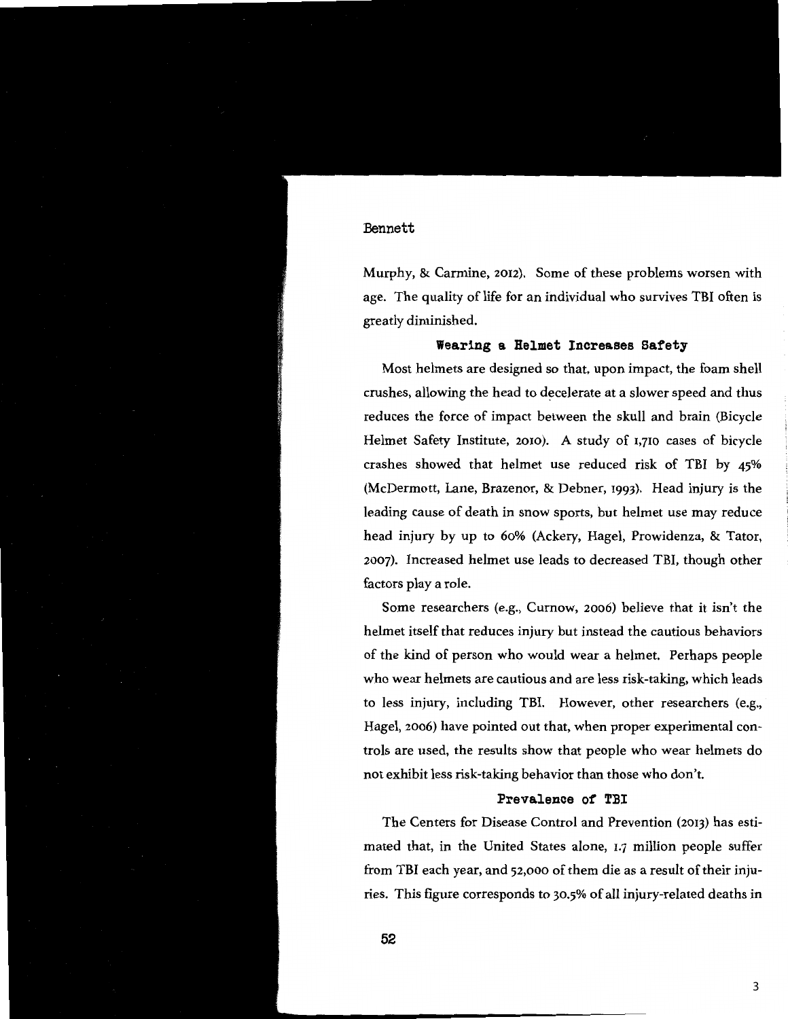Murphy, & Carmine, 2012). Some of these problems worsen with age. The quality of life for an individual who survives TBI often is greatly diminished.

## **Wearing a Helmet Increases Safety**

Most helmets are designed so that, upon impact, the foam shell crushes, allowing the head to decelerate at a slower speed and thus reduces the force of impact between the skull and brain (Bicycle Helmet Safety Institute, 2010). A study of 1,710 cases of bicycle crashes showed that helmet use reduced risk of TBI by 45% (McDermott, Lane, Brazenor, & Dehner, 1993). Head injury is the leading cause of death in snow sports, but helmet use may reduce head injury by up to 60% (Ackery, Hagel, Prowidenza, & Tator, 2007). Increased helmet use leads to decreased TBI, though other factors play a role.

Some researchers (e.g., Curnow, 2006) believe that it isn't the helmet itself that reduces injury but instead the cautious behaviors of the kind of person who would wear a helmet. Perhaps people who wear helmets are cautious and are less risk-taking, which leads to less injury, including TBI. However, other researchers (e.g., Hagel, 2006) have pointed out that, when proper experimental controls are used, the results show that people who wear helmets do not exhibit less risk-taking behavior than those who don't.

#### **Prevalence of TBI**

The Centers for Disease Control and Prevention (2013) has estimated that, in the United States alone, 1.7 million people suffer from TBI each year, and 52,000 of them die as a result of their injuries. This figure corresponds to 30.5% of all injury-related deaths in

**52**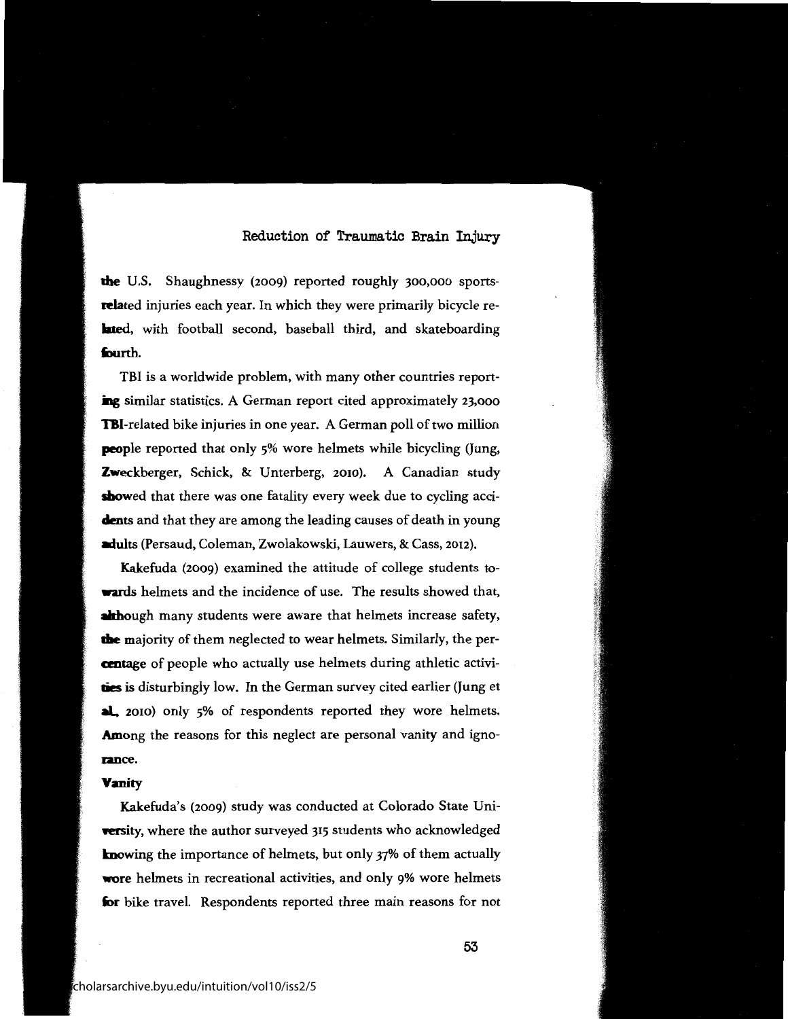**the** U.S. Shaughnessy (2009) reported roughly 300,000 sports-**Rlated** injuries each year. In which they were primarily bicycle re**lated,** with football second, baseball third, and skateboarding **fourth.** 

**TBI** is a worldwide problem, with many other countries reporting similar statistics. A German report cited approximately 23,000 **TBI-related** bike injuries in one year. A German poll of two million **people** reported that only 5% wore helmets while bicycling (Jung, **Zweckberger,** Schick, & Unterberg, 2010). A Canadian study **showed** that there was one fatality every week due to cycling acci**dents** and that they are among the leading causes of death in young **adults** (Persaud, Coleman, Zwolakowski, Lauwers, & Cass, 2012).

Kakefuda (2009) examined the attitude of college students to**wards** helmets and the incidence of use. The results showed that, **although** many students were aware that helmets increase safety, **die** majority of them neglected to wear helmets. Similarly, the per**antage** of people who actually use helmets during athletic activi-**1ies** is disturbingly low. In the German survey cited earlier (Jung et **al.** 2010) only 5% of respondents reported they wore helmets. **Among** the reasons for this neglect are personal vanity and igno**ance.** 

#### **Vanity**

Kakefuda's (2009) study was conducted at Colorado State Uni **versity,** where the author surveyed 315 students who acknowledged knowing the importance of helmets, but only 37% of them actually **wore** helmets in recreational activities, and only 9% wore helmets for bike travel. Respondents reported three main reasons for not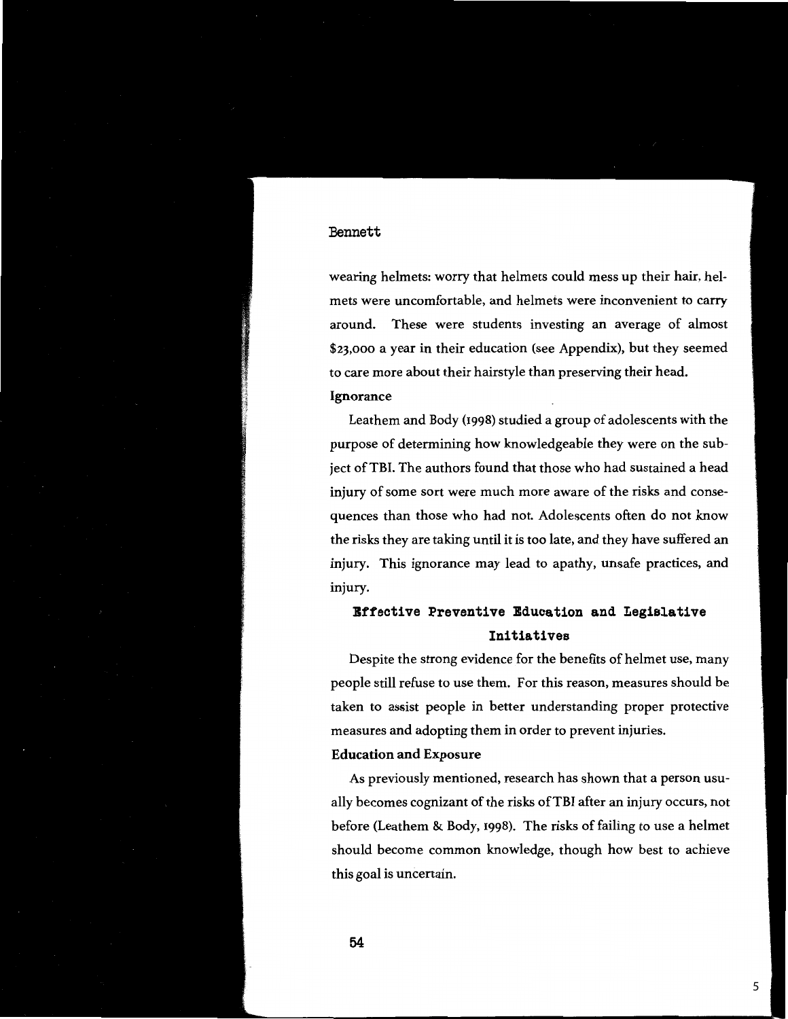wearing helmets: worry that helmets could mess up their hair, helmets were uncomfortable, and helmets were inconvenient to carry around. These were students investing an average of almost \$23,000 a year in their education (see Appendix), but they seemed to care more about their hairstyle than preserving their head. **Ignorance** 

Leathern and Body (1998) studied a group of adolescents with the purpose of determining how knowledgeable they were on the subject of TBI. The authors found that those who had sustained a head injury of some sort were much more aware of the risks and consequences than those who had not. Adolescents often do not know the risks they are taking until it is too late, and they have suffered an injury. This ignorance may lead to apathy, unsafe practices, and injury.

## **Effective Preventive Education and Legislative Initiatives**

Despite the strong evidence for the benefits of helmet use, many people still refuse to use them. For this reason, measures should be taken to assist people in better understanding proper protective measures and adopting them in order to prevent injuries.

#### **Education and Exposure**

As previously mentioned, research has shown that a person usually becomes cognizant of the risks of TBI after an injury occurs, not before (Leathern & Body, 1998). The risks of failing to use a helmet should become common knowledge, though how best to achieve this goal is uncertain.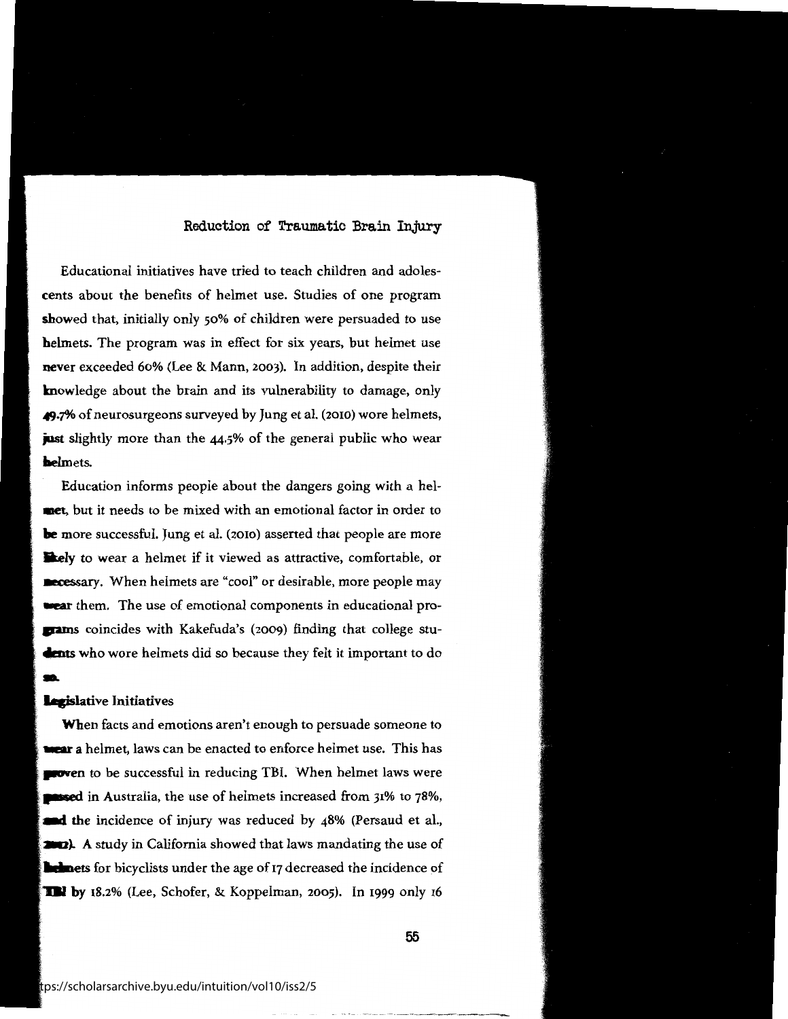Educational initiatives have tried to teach children and adoles**cents** about the benefits of helmet use. Studies of one program **showed** that, initially only 50% of children were persuaded to use **helmets.** The program was in effect for six years, but helmet use **never** exceeded 60% (Lee & Mann, 2003). In addition, despite their knowledge about the brain and its vulnerability to damage, only **49.7%** of neurosurgeons surveyed by Jung et al. (2010) wore helmets, **just** slightly more than the 44.5% of the general public who wear **laelmets.** 

Education informs people about the dangers going with a hel**met.** but it needs to be mixed with an emotional factor in order to **be** more successful. Jung et al. (2010) asserted that people are more **likely** to wear a helmet if it viewed as attractive, comfortable, or **aecessary.** When helmets are "cool" or desirable, more people may **wear** them. The use of emotional components in educational pro**pants** coincides with Kakefuda's (2009) finding that college stu-**4 kents** who wore helmets did so because they felt it important to do

#### **Legislative Initiatives**

t

m.

**Wh**en facts and emotions aren't enough to persuade someone to **100 a** helmet, laws can be enacted to enforce helmet use. This has **flowen** to be successful in reducing TBI. When helmet laws were **Inseed** in Australia, the use of helmets increased from 31% to 78%, and the incidence of injury was reduced by 48% (Persaud et al., **2002).** A study in California showed that laws mandating the use of **liginaries** for bicyclists under the age of 17 decreased the incidence of **The by** 18.2% (Lee, Schofer, & Koppelman, 2005). In 1999 only 16

-------------~

-----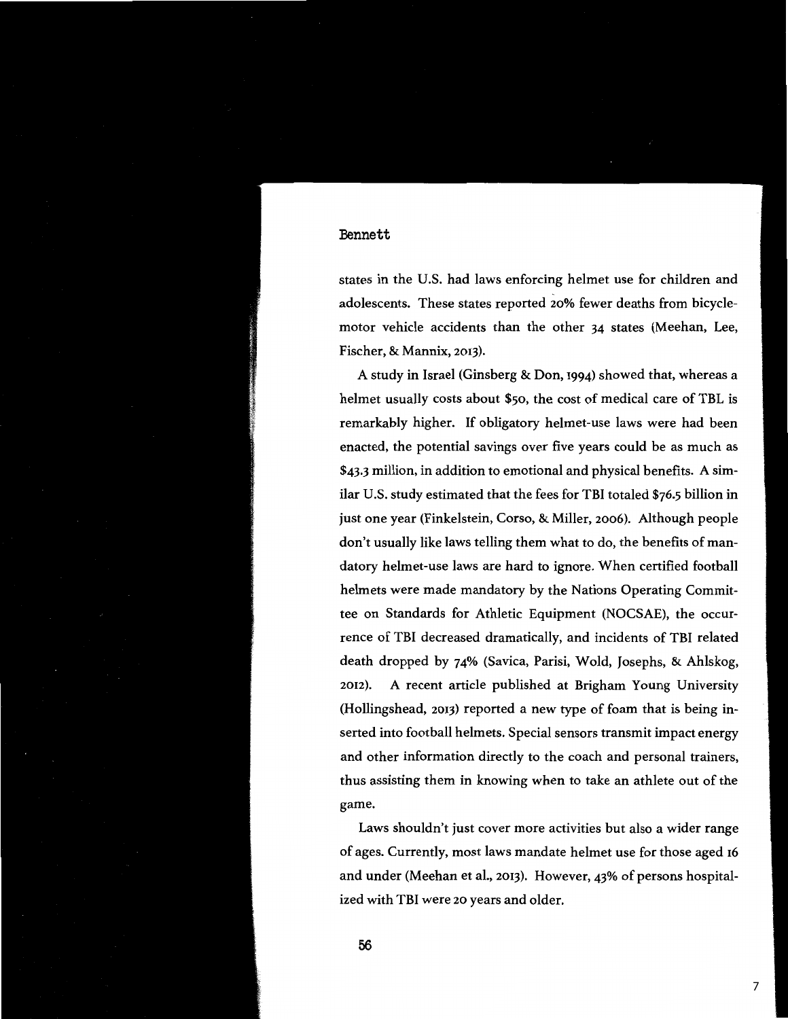states in the U.S. had laws enforcing helmet use for children and adolescents. These states reported 20% fewer deaths from bicyclemotor vehicle accidents than the other 34 states (Meehan, Lee, Fischer, & **Mannix,** 2013).

A study in Israel (Ginsberg & Don, 1994) showed that, whereas a helmet usually costs about \$50, the cost of medical care of TBL is remarkably higher. If obligatory helmet-use laws were had been enacted, the potential savings over five years could be as much as \$43.3 million, in addition to emotional and physical benefits. A similar U.S. study estimated that the fees for TBI totaled \$76.5 billion in just one year (Finkelstein, Corso, & Miller, 2006). Although people don't usually like laws telling them what to do, the benefits of mandatory helmet-use laws are hard to ignore. When certified football helmets were made mandatory by the Nations Operating Committee on Standards for Athletic Equipment (NOCSAE), the occurrence of TBI decreased dramatically, and incidents of TBI related death dropped by 74% (Savica, Parisi, Wold, Josephs, & Ahlskog, 2012). A recent article published at Brigham Young University (Hollingshead, 2013) reported a new type of foam that is being inserted into football helmets. Special sensors transmit impact energy and other information directly to the coach and personal trainers, thus assisting them in knowing when to take an athlete out of the game.

Laws shouldn't just cover more activities but also a wider range of ages. Currently, most laws mandate helmet use for those aged 16 and under (Meehan et al., 2013). However, 43% of persons hospitalized with TBI were 20 years and older.

**56**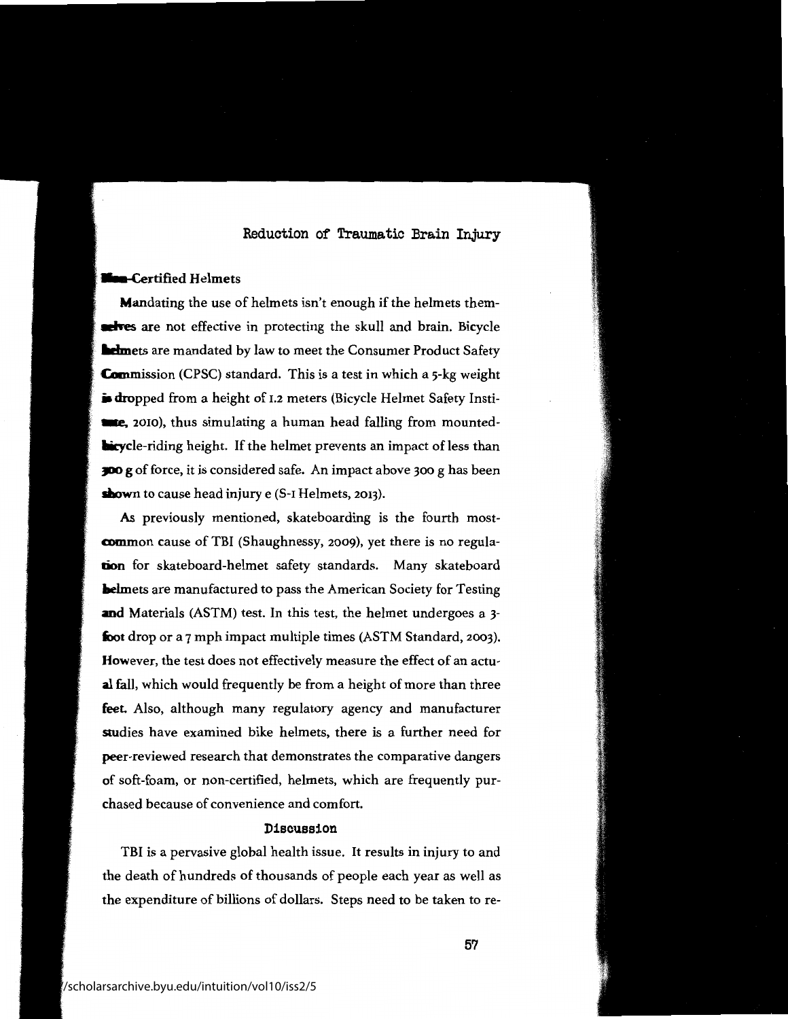## **Nea-Certified Helmets**

I

Mandating the use of helmets isn't enough if the helmets them**achodes** are not effective in protecting the skull and brain. Bicycle **Medimets are mandated by law to meet the Consumer Product Safety Commission** (CPSC) standard. This is a test in which a 5-kg weight **is dropped** from a height of 1.2 meters (Bicycle Helmet Safety Insti**tme,** 2010), thus simulating a human head falling from mounted**licycle-riding height.** If the helmet prevents an impact of less than **)DO g** of force, it is considered safe. An impact above 300 g has been **shown** to cause head injury e (S-1 Helmets, 2013).

**As** previously mentioned, skateboarding is the fourth most**mmmon** cause of TBI (Shaughnessy, 2009), yet there is no regula**tion** for skateboard-helmet safety standards. Many skateboard **laelmets** are manufactured to pass the American Society for Testing **and** Materials (ASTM) test. In this test, the helmet undergoes a 3 foot drop or a 7 mph impact multiple times (ASTM Standard, 2003). However, the test does not effectively measure the effect of an actu**al** fall, which would frequently be from a height of more than three **feet.** Also, although many regulatory agency and manufacturer studies have examined bike helmets, there is a further need for peer-reviewed research that demonstrates the comparative dangers **of** soft-foam, or non-certified, helmets, which are frequently purchased because of convenience and comfort.

## **Discussion**

TBI is a pervasive global health issue. It results in injury to and the death of hundreds of thousands of people each year as well as the expenditure of billions of dollars. Steps need to be taken to re-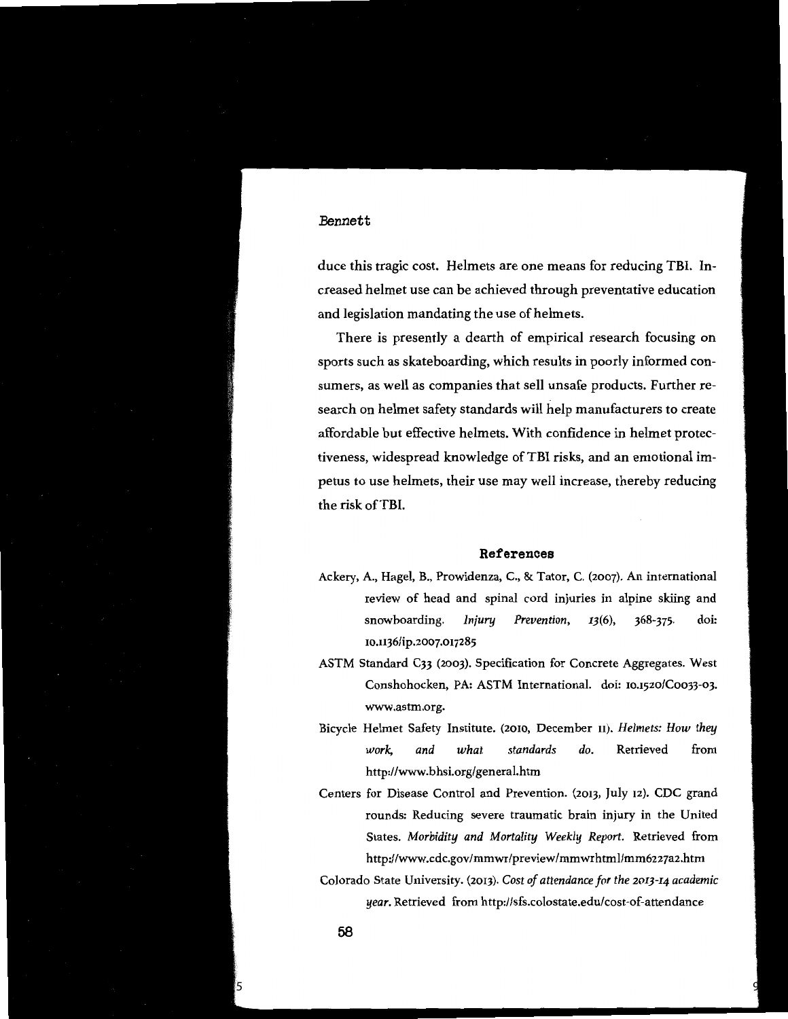duce this tragic cost. Helmets are one means for reducing TBI. Increased helmet use can be achieved through preventative education and legislation mandating the use of helmets.

There is presently a dearth of empirical research focusing on sports such as skateboarding, which results in poorly informed consumers, as well as companies that sell unsafe products. Further research on helmet safety standards will help manufacturers to create affordable but effective helmets. With confidence in helmet protectiveness, widespread knowledge of TBI risks, and an emotional impetus to use helmets, their use may well increase, thereby reducing the risk of TBI.

#### **References**

- Ackery, A., Hagel, B., Prowidenza, C., & Tator, C. (2007). An international review of head and spinal cord injuries in alpine skiing and snowboarding. *Injury Prevention, r3(6),* 368-375. doi: 10.1136/ip.2007.017285
- ASTM Standard C33 (2003). Specification for Concrete Aggregates. West Conshohocken, PA: ASTM International. doi: 10.1520/Coo33-03. www.astm.org.
- Bicycle Helmet Safety Institute. (2010, December 11). *Helmets: How they work, and what standards do.* Retrieved from http://www.bhsi.org/general.htm
- Centers for Disease Control and Prevention. (2013, July 12). CDC grand rounds: Reducing severe traumatic brain injury in the United States. *Morbidity and Mortality Weekly Report.* Retrieved from http://www.cdc.gov/mmwr/preview/mmwrhtml/mm6227a2.htm
- Colorado State University. (2013). *Cost of attendance for the 20I3-I4 academic year.* Retrieved from http://sfs.colostate.edu/cost-of-attendance

Published by BYU ScholarsArchive, 2015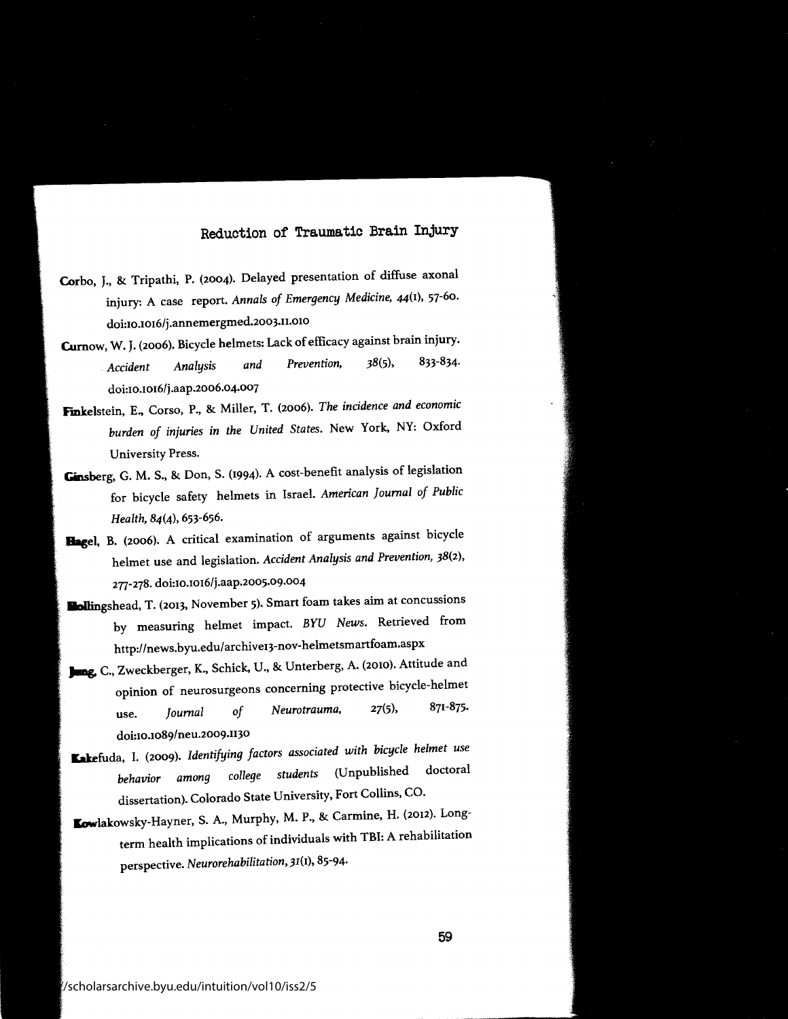- **Corbo,** J., & Tripathi, P. (2004). Delayed presentation of diffuse axonal injury: A case report. *Annals of Emergency Medicine,* 44(1), 57-60. doi:10.1016/j.annemergmed.2003.11.010
- **Curnow, W.** J. (2006). Bicycle helmets: Lack of efficacy against brain injury. *Accident Analysis and Prevention,* 38(5), 833-834. doi:10.1016/j.aap.2006.04.007
- **Fmkelstein,** E., Corso, P., & Miller, T. (2006). *The incidence and economic*  burden of injuries in the United States. New York, NY: Oxford University Press.
- **Ginsberg,** G. M. S., & Don, S. (1994). A cost-benefit analysis of legislation for bicycle safety helmets in Israel. *American Journal of Public Health,* 84(4), 653-656.
- **Bagel,** B. (2006). A critical examination of arguments against bicycle helmet use and legislation. *Accident Analysis and Prevention,* 38(2), 277-278. doi:10.1016/j.aap.2005.09.004
- **llallingshead,** T. (2013, November 5). Smart foam takes aim at concussions by measuring helmet impact. *BYU News.* Retrieved from http://news.byu.edu/ archive13-nov-helmetsmartfoam.aspx
- **)llag. C.,** Zweckberger, K., Schick, U., & Unterberg, A. (2010). Attitude and opinion of neurosurgeons concerning protective bicycle-helmet use. *Journal of Neurotrauma,* 27(5), 871-875. doi:10.1089/neu.2009.1130
- **Kakefuda,** I. (2009). *Identifying factors associated with bicycle helmet use behavior among college students* (Unpublished doctoral dissertation). Colorado State University, Fort Collins, CO.
- Iowlakowsky-Hayner, S. A., Murphy, M. P., & Carmine, H. (2012). Longterm health implications of individuals with TBI: A rehabilitation perspective. *Neurorehabilitation,* 31(1), 85-94.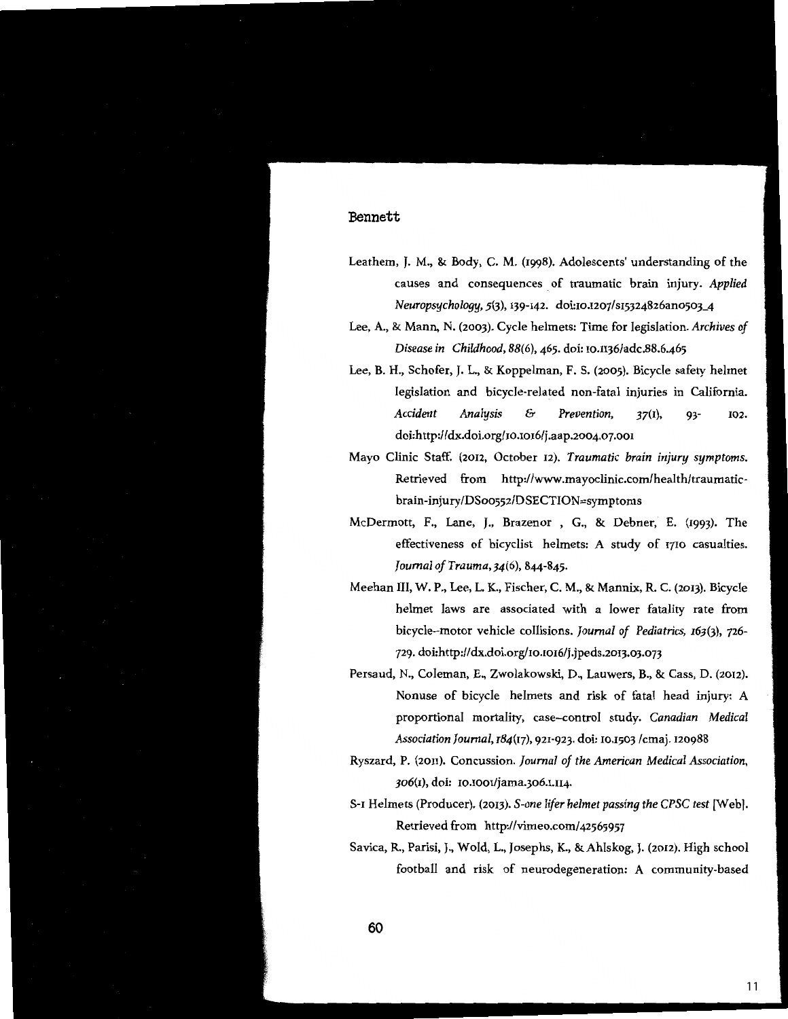- Leathern, J. M., & Body, C. M. (1998). Adolescents' understanding of the causes and consequences of traumatic brain injury. Applied *Neuropsychology, 5(3),* 139-142. doi:10.1207/s15324826ano503-4
- Lee, A., & Mann, N. (2003). Cycle helmets: Time for legislation. *Archives of Disease in Childhood, 88(6),* 465. doi: rn.1136/adc.88.6.465
- Lee, B. H., Schofer, J. L., & Koppelman, F. S. (2005). Bicycle safety helmet legislation and bicycle-related non-fatal injuries in California. *Accident Analysis* & *Prevention,* 37(1), 93- 102. doi:http://dx.doi.org/10.1016/j.aap.2004.07.001
- Mayo Clinic Staff. (2012, October 12). *Traumatic brain injury symptoms.*  Retrieved from http://www.mayoclinic.com/health/traumaticbrain-injury/DS0o552/DSECTION=symptoms
- McDermott, F., Lane, J., Brazenor , G., & Dehner, E. (1993). The effectiveness of bicyclist helmets: A study of 1710 casualties. *Journal of Trauma,34(6),* 844-845.
- Meehan III, W. P., Lee, L. K., Fischer, C. M., & Mannix, R. C. (2013). Bicycle helmet laws are associated with a lower fatality rate from bicycle-motor vehicle collisions. *Journal of Pediatrics, I63(3),* 726- 729. doi:http:/ /dx.doi.org/10.1016/j .jpeds.2013.03.073
- Persaud, N., Coleman, E., Zwolakowski, D., Lauwers, B., & Cass, D. (2012). Nonuse of bicycle helmets and risk of fatal head injury: A proportional mortality, case-control study. *Canadian Medical Association Journal, I84(17),* 921-923. doi: 10.1503 /cmaj. 120988
- Ryszard, P. (2011). Concussion. *Journal of the American Medical Association,*  306(1), doi: 10.1001/jama.306.1.114.
- S-1 Helmets (Producer). (2013). *S-one lifer helmet passing the CPSC test* [Web]. Retrieved from http:/ /vimeo.com/ 42565957
- Savica, R., Parisi, J., Wold, L., Josephs, K., &Ahlskog, J. (2012). High school football and risk of neurodegeneration: A community-based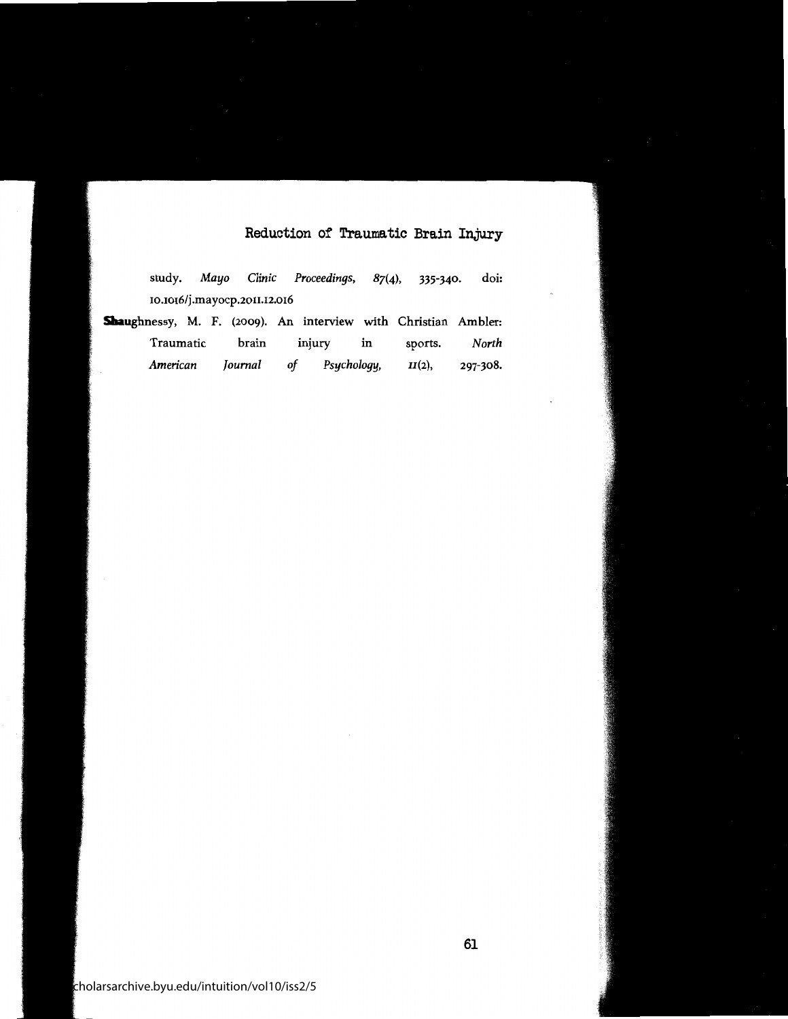|                                                                |  |                              | study. Mayo Clinic Proceedings, $87(4)$ , 335-340. |  | doi: |
|----------------------------------------------------------------|--|------------------------------|----------------------------------------------------|--|------|
|                                                                |  | 10.1016/j.mayocp.2011.12.016 |                                                    |  |      |
| Shaughnessy, M. F. (2009). An interview with Christian Ambler: |  |                              |                                                    |  |      |

| Traumatic | brain   |    | injury      | ın | sports.   | North    |
|-----------|---------|----|-------------|----|-----------|----------|
| American  | Journal | of | Psychology, |    | $II(2)$ , | 297-308. |

 $th$ olarsarchive.byu.edu/intuition/vol10/iss2/5